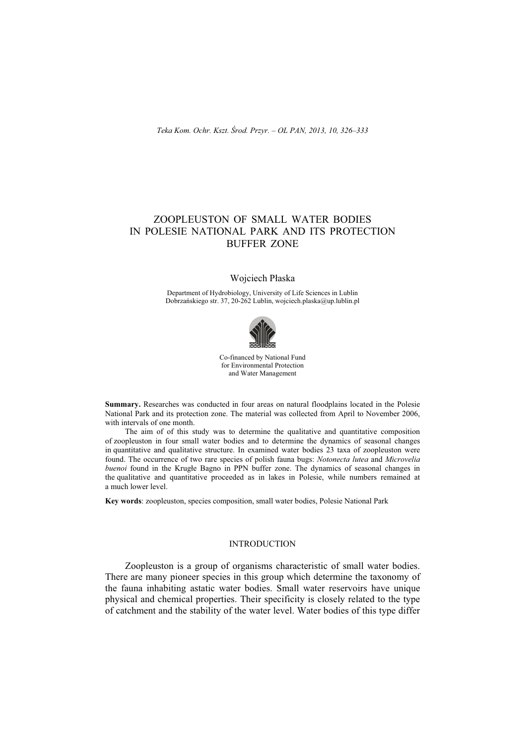# ZOOPLEUSTON OF SMALL WATER BODIES IN POLESIE NATIONAL PARK AND ITS PROTECTION BUFFER ZONE

## Wojciech Płaska

Department of Hydrobiology, University of Life Sciences in Lublin Dobrzańskiego str. 37, 20-262 Lublin, wojciech.plaska@up.lublin.pl



Co-financed by National Fund for Environmental Protection and Water Management

**Summary.** Researches was conducted in four areas on natural floodplains located in the Polesie National Park and its protection zone. The material was collected from April to November 2006, with intervals of one month.

The aim of of this study was to determine the qualitative and quantitative composition of zoopleuston in four small water bodies and to determine the dynamics of seasonal changes in quantitative and qualitative structure. In examined water bodies 23 taxa of zoopleuston were found. The occurrence of two rare species of polish fauna bugs: *Notonecta lutea* and *Microvelia buenoi* found in the Krugłe Bagno in PPN buffer zone. The dynamics of seasonal changes in the qualitative and quantitative proceeded as in lakes in Polesie, while numbers remained at a much lower level.

**Key words**: zoopleuston, species composition, small water bodies, Polesie National Park

# INTRODUCTION

Zoopleuston is a group of organisms characteristic of small water bodies. There are many pioneer species in this group which determine the taxonomy of the fauna inhabiting astatic water bodies. Small water reservoirs have unique physical and chemical properties. Their specificity is closely related to the type of catchment and the stability of the water level. Water bodies of this type differ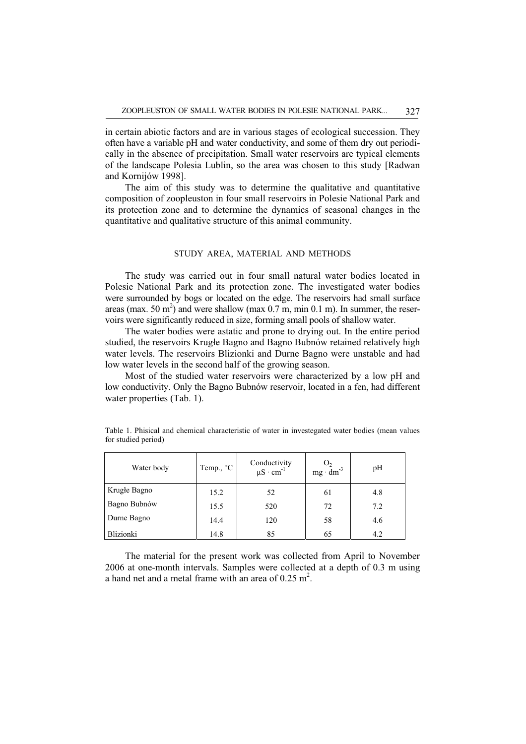in certain abiotic factors and are in various stages of ecological succession. They often have a variable pH and water conductivity, and some of them dry out periodically in the absence of precipitation. Small water reservoirs are typical elements of the landscape Polesia Lublin, so the area was chosen to this study [Radwan and Kornijów 1998].

The aim of this study was to determine the qualitative and quantitative composition of zoopleuston in four small reservoirs in Polesie National Park and its protection zone and to determine the dynamics of seasonal changes in the quantitative and qualitative structure of this animal community.

#### STUDY AREA, MATERIAL AND METHODS

The study was carried out in four small natural water bodies located in Polesie National Park and its protection zone. The investigated water bodies were surrounded by bogs or located on the edge. The reservoirs had small surface areas (max. 50 m<sup>2</sup>) and were shallow (max 0.7 m, min 0.1 m). In summer, the reservoirs were significantly reduced in size, forming small pools of shallow water.

The water bodies were astatic and prone to drying out. In the entire period studied, the reservoirs Krugłe Bagno and Bagno Bubnów retained relatively high water levels. The reservoirs Blizionki and Durne Bagno were unstable and had low water levels in the second half of the growing season.

Most of the studied water reservoirs were characterized by a low pH and low conductivity. Only the Bagno Bubnów reservoir, located in a fen, had different water properties (Tab. 1).

| Water body       | Temp., °C | Conductivity<br>$\mu S \cdot cm^{-1}$ | $O_2$<br>mg · dm <sup>-3</sup> | pH  |
|------------------|-----------|---------------------------------------|--------------------------------|-----|
| Krugłe Bagno     | 15.2      | 52                                    | 61                             | 4.8 |
| Bagno Bubnów     | 15.5      | 520                                   | 72                             | 7.2 |
| Durne Bagno      | 14.4      | 120                                   | 58                             | 4.6 |
| <b>Blizionki</b> | 14.8      | 85                                    | 65                             | 4.2 |

Table 1. Phisical and chemical characteristic of water in investegated water bodies (mean values for studied period)

The material for the present work was collected from April to November 2006 at one-month intervals. Samples were collected at a depth of 0.3 m using a hand net and a metal frame with an area of  $0.25 \text{ m}^2$ .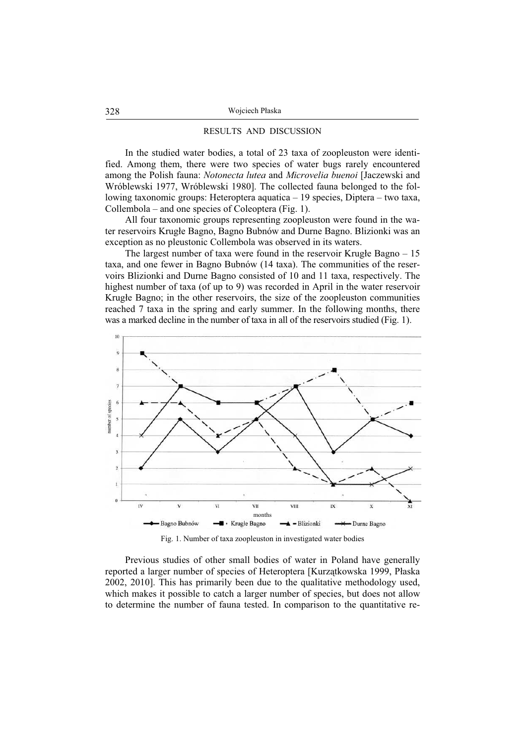### RESULTS AND DISCUSSION

In the studied water bodies, a total of 23 taxa of zoopleuston were identified. Among them, there were two species of water bugs rarely encountered among the Polish fauna: *Notonecta lutea* and *Microvelia buenoi* [Jaczewski and Wróblewski 1977, Wróblewski 1980]. The collected fauna belonged to the following taxonomic groups: Heteroptera aquatica – 19 species, Diptera – two taxa, Collembola – and one species of Coleoptera (Fig. 1).

All four taxonomic groups representing zoopleuston were found in the water reservoirs Krugłe Bagno, Bagno Bubnów and Durne Bagno. Blizionki was an exception as no pleustonic Collembola was observed in its waters.

The largest number of taxa were found in the reservoir Krughe Bagno  $-15$ taxa, and one fewer in Bagno Bubnów (14 taxa). The communities of the reservoirs Blizionki and Durne Bagno consisted of 10 and 11 taxa, respectively. The highest number of taxa (of up to 9) was recorded in April in the water reservoir Krugłe Bagno; in the other reservoirs, the size of the zoopleuston communities reached 7 taxa in the spring and early summer. In the following months, there was a marked decline in the number of taxa in all of the reservoirs studied (Fig. 1).



Fig. 1. Number of taxa zoopleuston in investigated water bodies

Previous studies of other small bodies of water in Poland have generally reported a larger number of species of Heteroptera [Kurzątkowska 1999, Płaska 2002, 2010]. This has primarily been due to the qualitative methodology used, which makes it possible to catch a larger number of species, but does not allow to determine the number of fauna tested. In comparison to the quantitative re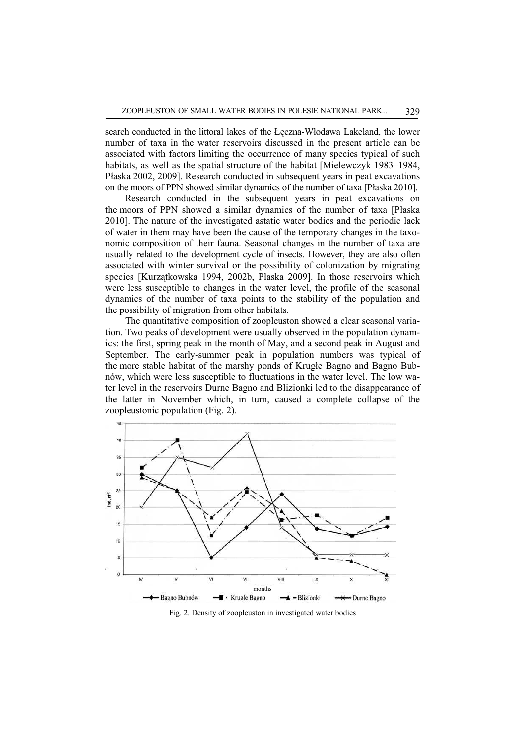search conducted in the littoral lakes of the Łęczna-Włodawa Lakeland, the lower number of taxa in the water reservoirs discussed in the present article can be associated with factors limiting the occurrence of many species typical of such habitats, as well as the spatial structure of the habitat [Mielewczyk 1983–1984, Páaska 2002, 2009]. Research conducted in subsequent years in peat excavations on the moors of PPN showed similar dynamics of the number of taxa [Páaska 2010].

Research conducted in the subsequent years in peat excavations on the moors of PPN showed a similar dynamics of the number of taxa [Páaska 2010]. The nature of the investigated astatic water bodies and the periodic lack of water in them may have been the cause of the temporary changes in the taxonomic composition of their fauna. Seasonal changes in the number of taxa are usually related to the development cycle of insects. However, they are also often associated with winter survival or the possibility of colonization by migrating species [Kurzatkowska 1994, 2002b, Płaska 2009]. In those reservoirs which were less susceptible to changes in the water level, the profile of the seasonal dynamics of the number of taxa points to the stability of the population and the possibility of migration from other habitats.

The quantitative composition of zoopleuston showed a clear seasonal variation. Two peaks of development were usually observed in the population dynamics: the first, spring peak in the month of May, and a second peak in August and September. The early-summer peak in population numbers was typical of the more stable habitat of the marshy ponds of Krugłe Bagno and Bagno Bubnów, which were less susceptible to fluctuations in the water level. The low water level in the reservoirs Durne Bagno and Blizionki led to the disappearance of the latter in November which, in turn, caused a complete collapse of the zoopleustonic population (Fig. 2).



Fig. 2. Density of zoopleuston in investigated water bodies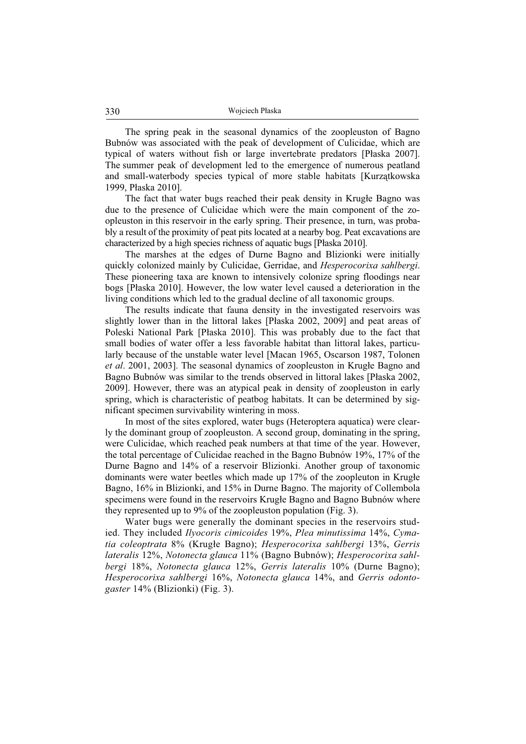The spring peak in the seasonal dynamics of the zoopleuston of Bagno Bubnów was associated with the peak of development of Culicidae, which are typical of waters without fish or large invertebrate predators [Páaska 2007]. The summer peak of development led to the emergence of numerous peatland and small-waterbody species typical of more stable habitats [Kurzątkowska 1999, Páaska 2010].

The fact that water bugs reached their peak density in Krugle Bagno was due to the presence of Culicidae which were the main component of the zoopleuston in this reservoir in the early spring. Their presence, in turn, was probably a result of the proximity of peat pits located at a nearby bog. Peat excavations are characterized by a high species richness of aquatic bugs [Páaska 2010].

The marshes at the edges of Durne Bagno and Blizionki were initially quickly colonized mainly by Culicidae, Gerridae, and *Hesperocorixa sahlbergi*. These pioneering taxa are known to intensively colonize spring floodings near bogs [Páaska 2010]. However, the low water level caused a deterioration in the living conditions which led to the gradual decline of all taxonomic groups.

The results indicate that fauna density in the investigated reservoirs was slightly lower than in the littoral lakes [Páaska 2002, 2009] and peat areas of Poleski National Park [Páaska 2010]. This was probably due to the fact that small bodies of water offer a less favorable habitat than littoral lakes, particularly because of the unstable water level [Macan 1965, Oscarson 1987, Tolonen *et al.* 2001, 2003]. The seasonal dynamics of zoopleuston in Krugle Bagno and Bagno Bubnów was similar to the trends observed in littoral lakes [Páaska 2002, 2009]. However, there was an atypical peak in density of zoopleuston in early spring, which is characteristic of peatbog habitats. It can be determined by significant specimen survivability wintering in moss.

In most of the sites explored, water bugs (Heteroptera aquatica) were clearly the dominant group of zoopleuston. A second group, dominating in the spring, were Culicidae, which reached peak numbers at that time of the year. However, the total percentage of Culicidae reached in the Bagno Bubnów 19%, 17% of the Durne Bagno and 14% of a reservoir Blizionki. Another group of taxonomic dominants were water beetles which made up 17% of the zoopleuton in Krugle Bagno, 16% in Blizionki, and 15% in Durne Bagno. The majority of Collembola specimens were found in the reservoirs Krugłe Bagno and Bagno Bubnów where they represented up to 9% of the zoopleuston population (Fig. 3).

Water bugs were generally the dominant species in the reservoirs studied. They included *Ilyocoris cimicoides* 19%, *Plea minutissima* 14%, *Cymatia coleoptrata* 8% (Krugáe Bagno); *Hesperocorixa sahlbergi* 13%, *Gerris lateralis* 12%, *Notonecta glauca* 11% (Bagno Bubnów); *Hesperocorixa sahlbergi* 18%, *Notonecta glauca* 12%, *Gerris lateralis* 10% (Durne Bagno); *Hesperocorixa sahlbergi* 16%, *Notonecta glauca* 14%, and *Gerris odontogaster* 14% (Blizionki) (Fig. 3).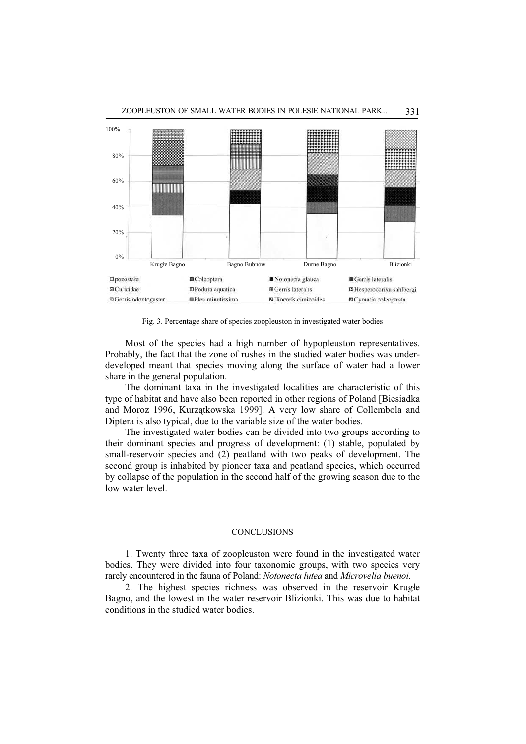

Fig. 3. Percentage share of species zoopleuston in investigated water bodies

Most of the species had a high number of hypopleuston representatives. Probably, the fact that the zone of rushes in the studied water bodies was underdeveloped meant that species moving along the surface of water had a lower share in the general population.

The dominant taxa in the investigated localities are characteristic of this type of habitat and have also been reported in other regions of Poland [Biesiadka and Moroz 1996, Kurzątkowska 1999]. A very low share of Collembola and Diptera is also typical, due to the variable size of the water bodies.

The investigated water bodies can be divided into two groups according to their dominant species and progress of development: (1) stable, populated by small-reservoir species and (2) peatland with two peaks of development. The second group is inhabited by pioneer taxa and peatland species, which occurred by collapse of the population in the second half of the growing season due to the low water level.

# **CONCLUSIONS**

1. Twenty three taxa of zoopleuston were found in the investigated water bodies. They were divided into four taxonomic groups, with two species very rarely encountered in the fauna of Poland: *Notonecta lutea* and *Microvelia buenoi*.

2. The highest species richness was observed in the reservoir Krughe Bagno, and the lowest in the water reservoir Blizionki. This was due to habitat conditions in the studied water bodies.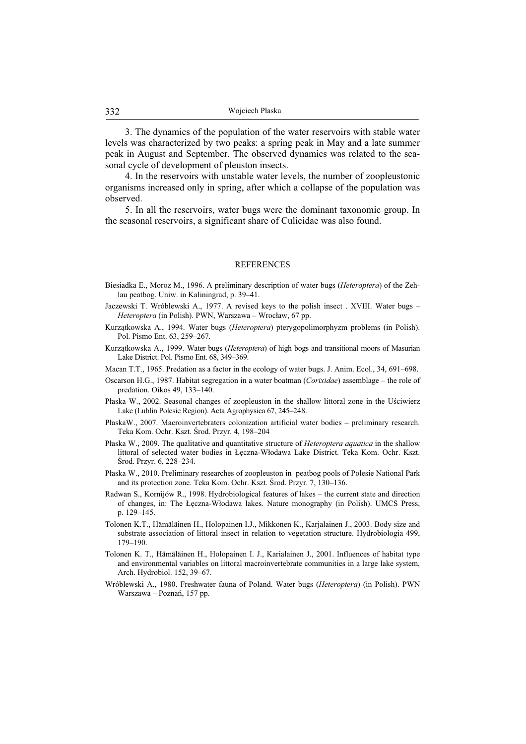3. The dynamics of the population of the water reservoirs with stable water levels was characterized by two peaks: a spring peak in May and a late summer peak in August and September. The observed dynamics was related to the seasonal cycle of development of pleuston insects.

4. In the reservoirs with unstable water levels, the number of zoopleustonic organisms increased only in spring, after which a collapse of the population was observed.

5. In all the reservoirs, water bugs were the dominant taxonomic group. In the seasonal reservoirs, a significant share of Culicidae was also found.

#### REFERENCES

- Biesiadka E., Moroz M., 1996. A preliminary description of water bugs (*Heteroptera*) of the Zehlau peatbog. Uniw. in Kaliningrad, p. 39–41.
- Jaczewski T. Wróblewski A., 1977. A revised keys to the polish insect . XVIII. Water bugs *Heteroptera* (in Polish). PWN, Warszawa – Wrocáaw, 67 pp.
- Kurzątkowska A., 1994. Water bugs (*Heteroptera*) pterygopolimorphyzm problems (in Polish). Pol. Pismo Ent. 63, 259–267.
- Kurzątkowska A., 1999. Water bugs (*Heteroptera*) of high bogs and transitional moors of Masurian Lake District. Pol. Pismo Ent. 68, 349–369.
- Macan T.T., 1965. Predation as a factor in the ecology of water bugs. J. Anim. Ecol., 34, 691–698.
- Oscarson H.G., 1987. Habitat segregation in a water boatman (*Corixidae*) assemblage the role of predation. Oikos 49, 133–140.
- Páaska W., 2002. Seasonal changes of zoopleuston in the shallow littoral zone in the UĞciwierz Lake (Lublin Polesie Region). Acta Agrophysica 67, 245–248.
- PáaskaW., 2007. Macroinvertebraters colonization artificial water bodies preliminary research. Teka Kom. Ochr. Kszt. ĝrod. Przyr. 4, 198–204
- Páaska W., 2009. The qualitative and quantitative structure of *Heteroptera aquatica* in the shallow littoral of selected water bodies in Łęczna-Włodawa Lake District. Teka Kom. Ochr. Kszt. ĝrod. Przyr. 6, 228–234.
- Páaska W., 2010. Preliminary researches of zoopleuston in peatbog pools of Polesie National Park and its protection zone. Teka Kom. Ochr. Kszt. ĝrod. Przyr. 7, 130–136.
- Radwan S., Kornijów R., 1998. Hydrobiological features of lakes the current state and direction of changes, in: The Łęczna-Włodawa lakes. Nature monography (in Polish). UMCS Press, p. 129–145.
- Tolonen K.T., Hämäläinen H., Holopainen I.J., Mikkonen K., Karjalainen J., 2003. Body size and substrate association of littoral insect in relation to vegetation structure. Hydrobiologia 499, 179–190.
- Tolonen K. T., Hämäläinen H., Holopainen I. J., Karialainen J., 2001. Influences of habitat type and environmental variables on littoral macroinvertebrate communities in a large lake system, Arch. Hydrobiol. 152, 39–67.
- Wróblewski A., 1980. Freshwater fauna of Poland. Water bugs (*Heteroptera*) (in Polish). PWN Warszawa – Poznań, 157 pp.